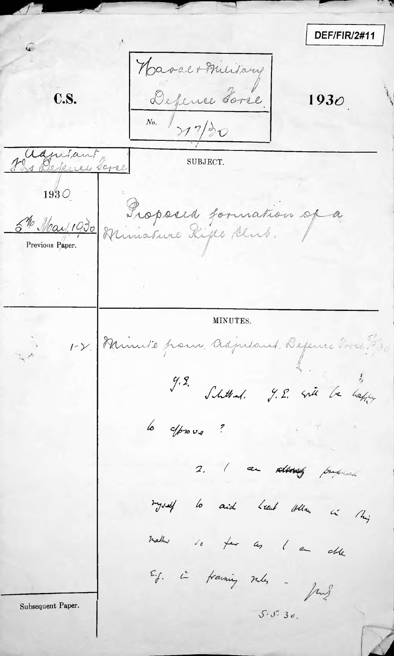DEF/FIR/2#11 C Haval+Military C.S. Depense Torse.  $193<sub>O</sub>$  $N_0$ .  $\sqrt{7/2}$ ianiant SUBJECT. 1 Bekener Taree 1930 Proposed formation of a 5th May 1930 Previous Paper. MINUTES. Minute pour Adjusant Defeure vous  $1-\gamma$ 9.2.<br>Shitted. J.E. site be before lo esprove? I am related proposed  $\overline{z}$ myself to aid head other in this mather so far as I am other E.g. i travning sules - Jung Subsequent Paper.  $5.5.30$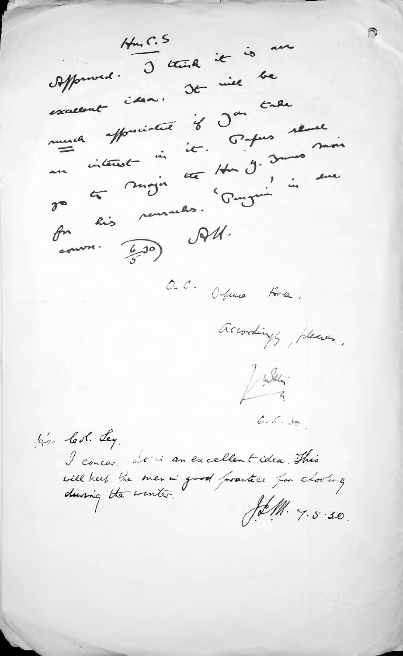$H_{m}, C.5$ offermed. I think it is an excessent iden. De mil be mura appreciative 8 Jan tale an interest in it. 54ms seme for lis remarks. Ponguin in sur  $\cos \theta$  (20) Of  $\theta$ O.C. Office Fre. accordings, pleases, Julian  $6.5.30.$ bor led. Ley. I concur at is an excellent idea. This will keep the men in good practice for chosters, JetM. 7.5.30.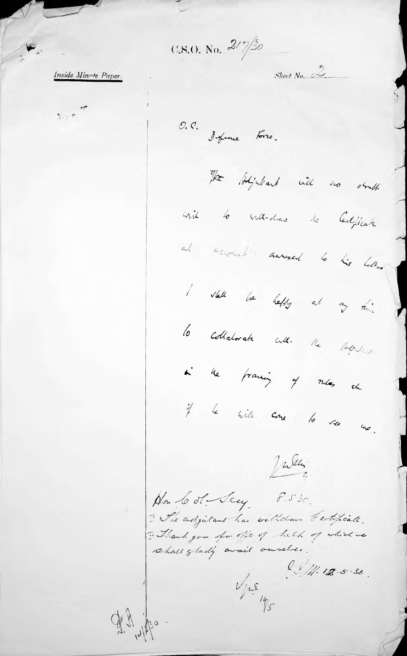$0.8.0.$  No.  $2/2/30$ 

Inside Minute Paper.

O. P. Impire Fre.

The bighauch will no doubt

wil 6 vill-dans le Cedjicate

al account annual to his letter

I stall be heldy at any thing lo collatorate culturale the total

i le francoj of mes en if he will come to re mo.

Jules

An lool Jay 8.530. I The adjutant has withdrawn testificate. "Thank you for offer of help of which we shall gladly avail ouselves.

Ogli 12 po

 $\frac{6}{11}.12.5.36$  $\frac{1}{\sqrt{2\pi}}$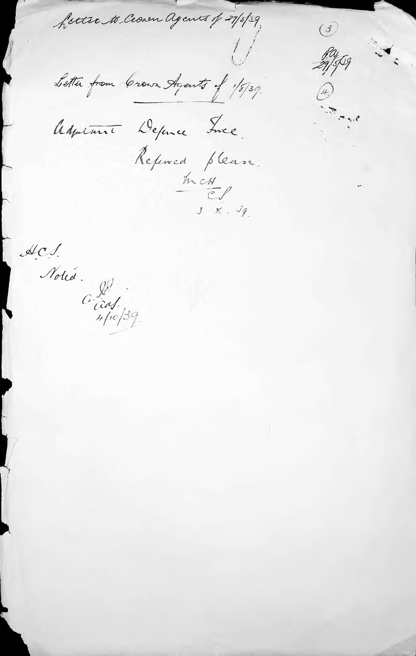fetter to Crown agents of 27/5/39

 $\circled{3}$ Ruffeg

 $4.$ 

Letter from Crown Agents of 1/8/39.

Adjustment Definee Ince Referred please.

 $\frac{1}{2}$ 

 $A \n C \n J \n d\omega$ .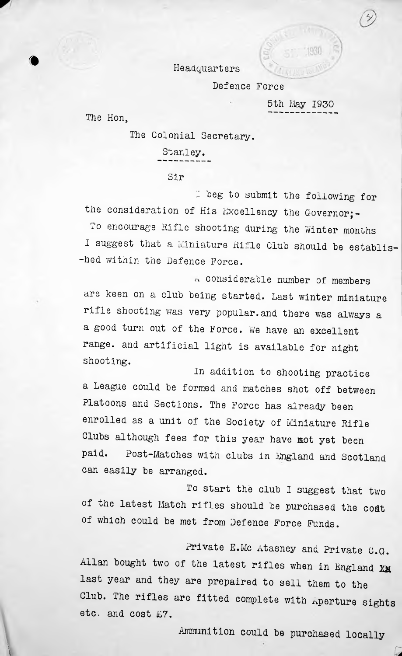*<sup>m</sup>* Headquarters

Defence Force

5th May 1930

The Hon,

The Colonial Secretary.

Stanley.

Sir

I beg to submit the following for the consideration of His Excellency the Governor;-To encourage Rifle shooting during the Winter months I suggest that <sup>a</sup> Miniature Rifle Club should be establis--hed within the Defence Force.

 $t$ -t. considerable number of members are keen on a club being started. Last winter miniature rifle shooting was very popular.and there was always <sup>a</sup> a good turn out of the Force. We have an excellent range, and artificial light is available for night shooting.

In addition to shooting practice <sup>a</sup> League could be formed and matches shot off between Platoons and Sections. The Force has already been enrolled as <sup>a</sup> unit of the Society of Miniature Rifle Clubs although fees for this year have mot yet been paid. Post-Matches with clubs in England and Scotland can easily be arranged.

To start the club I suggest that two of the latest Match rifles should be purchased the coat of which could be met from Defence Force Funds.

Private E.Mc Atasney and Private C.G. Allan bought two of the latest rifles when in England Xg last year and they are prepaired to sell them to the Club. The rifles are fitted complete with aperture sights etc. and cost £7.

Ammunition could be purchased locally

**£**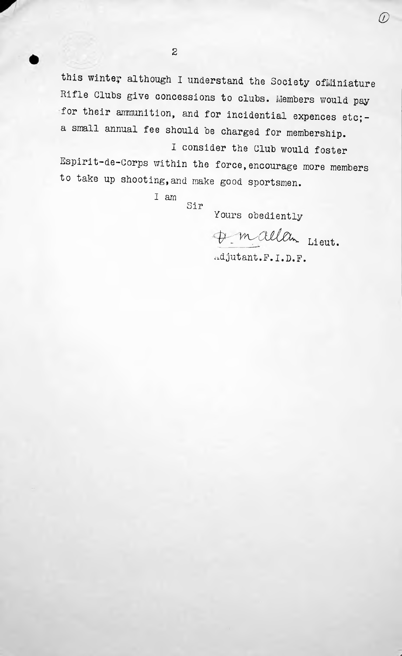this winter although I understand the Society ofMiniature Rifle Gluts give concessions to clubs. Members would pay for their ammunition, and for incidential expences etc; a small annual fee should be charged for membership.

I consider the Club would foster Espirit-de-Gorps within the force, encourage more members to take up shooting,and make good sportsmen.

> I am Sir

Yours obediently

 $\#$  mallan Lieut.

*CD*

Adjutant.F.I.D.F.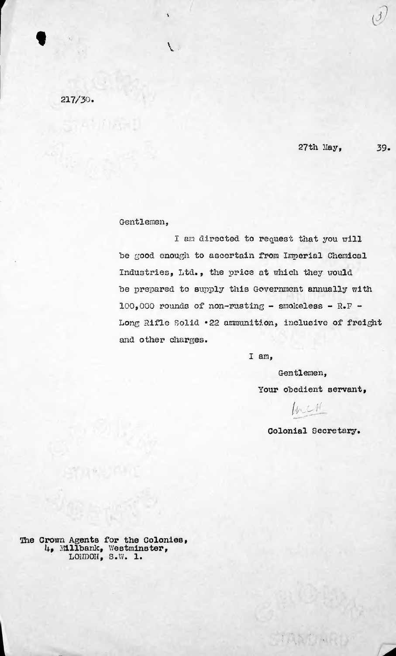217/30.

 $\bullet$  Value of  $\bullet$ 

27th Hay, 39.

## Gentlemen,

I am directed to request that you will be good enough to ascertain from Imperial Chemical Industries, Ltd., the price at which they would he prepared to supply this Government annually with  $100,000$  rounds of non-rusting - smokeless - R.F -Long Rifle Solid \*22 ammunition, inclusive of freight and other charges.

I am,

Gentlemen, Your obedient servant,

 $\iota$   $\iota$   $\iota$   $\iota$ 

TAXONA

Colonial Secretary.

*The* Crown Agents for the Colonies, h, Hillhank, Westminster, LOUDOH, S.W. 1.